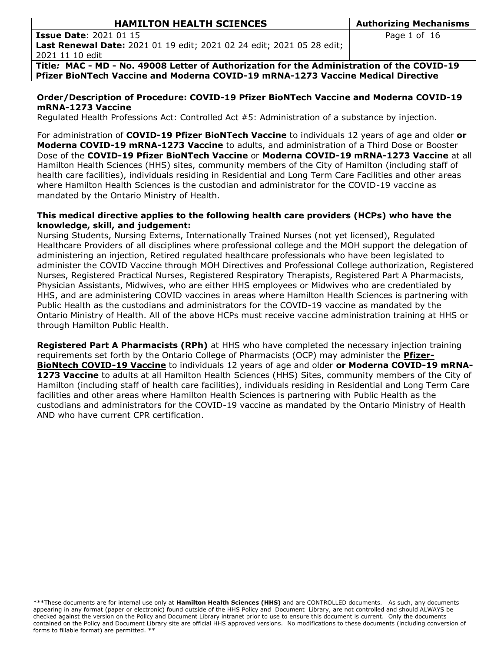| <b>HAMILTON HEALTH SCIENCES</b>                                                            | <b>Authorizing Mechanisms</b> |  |  |
|--------------------------------------------------------------------------------------------|-------------------------------|--|--|
| <b>Issue Date: 2021 01 15</b>                                                              | Page 1 of 16                  |  |  |
| <b>Last Renewal Date:</b> 2021 01 19 edit; 2021 02 24 edit; 2021 05 28 edit;               |                               |  |  |
| 2021 11 10 edit                                                                            |                               |  |  |
| Title: MAC - MD - No. 49008 Letter of Authorization for the Administration of the COVID-19 |                               |  |  |

**Pfizer BioNTech Vaccine and Moderna COVID-19 mRNA-1273 Vaccine Medical Directive**

#### **Order/Description of Procedure: COVID-19 Pfizer BioNTech Vaccine and Moderna COVID-19 mRNA-1273 Vaccine**

Regulated Health Professions Act: Controlled Act #5: Administration of a substance by injection.

For administration of **COVID-19 Pfizer BioNTech Vaccine** to individuals 12 years of age and older **or Moderna COVID-19 mRNA-1273 Vaccine** to adults, and administration of a Third Dose or Booster Dose of the **COVID-19 Pfizer BioNTech Vaccine** or **Moderna COVID-19 mRNA-1273 Vaccine** at all Hamilton Health Sciences (HHS) sites, community members of the City of Hamilton (including staff of health care facilities), individuals residing in Residential and Long Term Care Facilities and other areas where Hamilton Health Sciences is the custodian and administrator for the COVID-19 vaccine as mandated by the Ontario Ministry of Health.

### **This medical directive applies to the following health care providers (HCPs) who have the knowledge, skill, and judgement:**

Nursing Students, Nursing Externs, Internationally Trained Nurses (not yet licensed), Regulated Healthcare Providers of all disciplines where professional college and the MOH support the delegation of administering an injection, Retired regulated healthcare professionals who have been legislated to administer the COVID Vaccine through MOH Directives and Professional College authorization, Registered Nurses, Registered Practical Nurses, Registered Respiratory Therapists, Registered Part A Pharmacists, Physician Assistants, Midwives, who are either HHS employees or Midwives who are credentialed by HHS, and are administering COVID vaccines in areas where Hamilton Health Sciences is partnering with Public Health as the custodians and administrators for the COVID-19 vaccine as mandated by the Ontario Ministry of Health. All of the above HCPs must receive vaccine administration training at HHS or through Hamilton Public Health.

**Registered Part A Pharmacists (RPh)** at HHS who have completed the necessary injection training requirements set forth by the Ontario College of Pharmacists (OCP) may administer the **Pfizer-BioNtech COVID-19 Vaccine** to individuals 12 years of age and older **or Moderna COVID-19 mRNA-1273 Vaccine** to adults at all Hamilton Health Sciences (HHS) Sites, community members of the City of Hamilton (including staff of health care facilities), individuals residing in Residential and Long Term Care facilities and other areas where Hamilton Health Sciences is partnering with Public Health as the custodians and administrators for the COVID-19 vaccine as mandated by the Ontario Ministry of Health AND who have current CPR certification.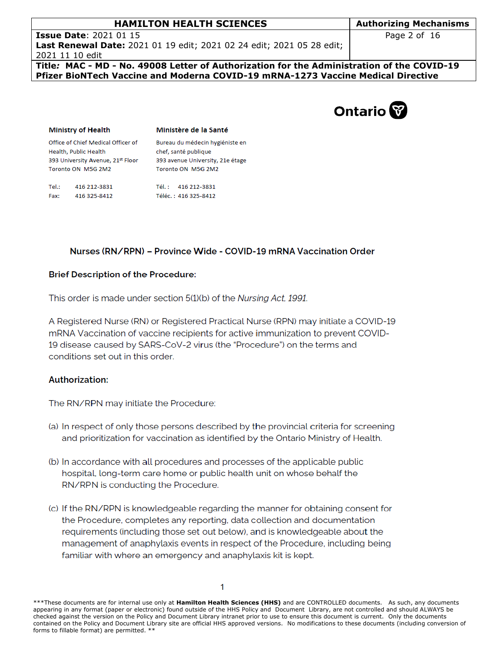Page 2 of 16

**Issue Date**: 2021 01 15 **Last Renewal Date:** 2021 01 19 edit; 2021 02 24 edit; 2021 05 28 edit; 2021 11 10 edit

**Title***:* **MAC - MD - No. 49008 Letter of Authorization for the Administration of the COVID-19 Pfizer BioNTech Vaccine and Moderna COVID-19 mRNA-1273 Vaccine Medical Directive**



#### **Ministry of Health**

Ministère de la Santé Bureau du médecin hygiéniste en

Office of Chief Medical Officer of Health, Public Health 393 University Avenue, 21st Floor Toronto ON M5G 2M2

chef, santé publique 393 avenue University, 21e étage Toronto ON M5G 2M2

| Tel.: | 416 212-3831 | Tél.: 416 212-3831   |
|-------|--------------|----------------------|
| Fax:  | 416 325-8412 | Téléc.: 416 325-8412 |

### Nurses (RN/RPN) - Province Wide - COVID-19 mRNA Vaccination Order

### **Brief Description of the Procedure:**

This order is made under section 5(1)(b) of the Nursing Act, 1991.

A Registered Nurse (RN) or Registered Practical Nurse (RPN) may initiate a COVID-19 mRNA Vaccination of vaccine recipients for active immunization to prevent COVID-19 disease caused by SARS-CoV-2 virus (the "Procedure") on the terms and conditions set out in this order.

### **Authorization:**

The RN/RPN may initiate the Procedure:

- (a) In respect of only those persons described by the provincial criteria for screening and prioritization for vaccination as identified by the Ontario Ministry of Health.
- (b) In accordance with all procedures and processes of the applicable public hospital, long-term care home or public health unit on whose behalf the RN/RPN is conducting the Procedure.
- (c) If the RN/RPN is knowledgeable regarding the manner for obtaining consent for the Procedure, completes any reporting, data collection and documentation requirements (including those set out below), and is knowledgeable about the management of anaphylaxis events in respect of the Procedure, including being familiar with where an emergency and anaphylaxis kit is kept.

<sup>\*\*\*</sup>These documents are for internal use only at **Hamilton Health Sciences (HHS)** and are CONTROLLED documents. As such, any documents appearing in any format (paper or electronic) found outside of the HHS Policy and Document Library, are not controlled and should ALWAYS be checked against the version on the Policy and Document Library intranet prior to use to ensure this document is current. Only the documents contained on the Policy and Document Library site are official HHS approved versions. No modifications to these documents (including conversion of forms to fillable format) are permitted. \*\*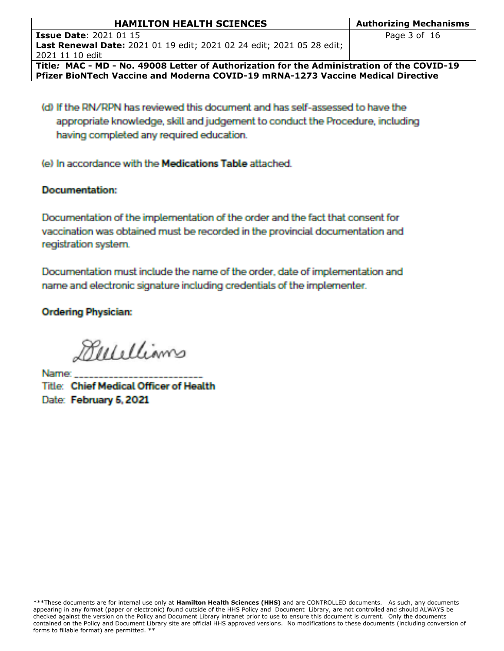| <b>HAMILTON HEALTH SCIENCES</b>                                                            | <b>Authorizing Mechanisms</b> |  |  |  |
|--------------------------------------------------------------------------------------------|-------------------------------|--|--|--|
| <b>Issue Date: 2021 01 15</b>                                                              | Page 3 of 16                  |  |  |  |
| <b>Last Renewal Date:</b> 2021 01 19 edit; 2021 02 24 edit; 2021 05 28 edit;               |                               |  |  |  |
| 2021 11 10 edit                                                                            |                               |  |  |  |
| Title: MAC - MD - No. 49008 Letter of Authorization for the Administration of the COVID-19 |                               |  |  |  |
| Pfizer BioNTech Vaccine and Moderna COVID-19 mRNA-1273 Vaccine Medical Directive           |                               |  |  |  |

(d) If the RN/RPN has reviewed this document and has self-assessed to have the appropriate knowledge, skill and judgement to conduct the Procedure, including having completed any required education.

(e) In accordance with the Medications Table attached.

## **Documentation:**

Documentation of the implementation of the order and the fact that consent for vaccination was obtained must be recorded in the provincial documentation and registration system.

Documentation must include the name of the order, date of implementation and name and electronic signature including credentials of the implementer.

**Ordering Physician:** 

Bulillians

Name: Title: Chief Medical Officer of Health Date: February 5, 2021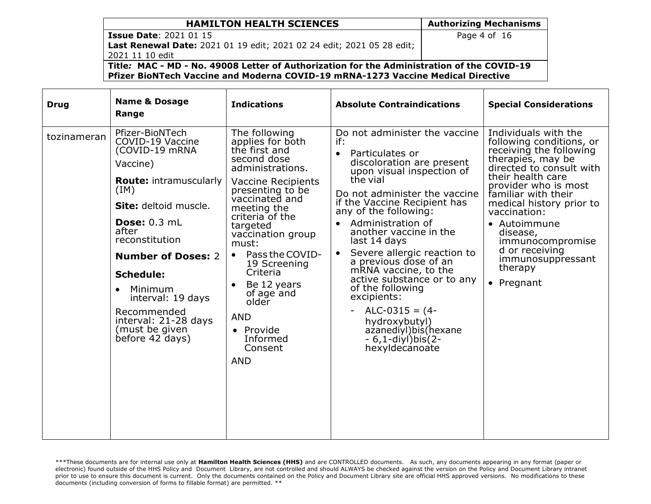# Page 4 of 16

**Issue Date**: 2021 01 15 **Last Renewal Date:** 2021 01 19 edit; 2021 02 24 edit; 2021 05 28 edit; 2021 11 10 edit

**Title***:* **MAC - MD - No. 49008 Letter of Authorization for the Administration of the COVID-19 Pfizer BioNTech Vaccine and Moderna COVID-19 mRNA-1273 Vaccine Medical Directive**

| <b>Drug</b> | <b>Name &amp; Dosage</b><br>Range                                                                                                                                                                                                                                                                                                                               | <b>Indications</b>                                                                                                                                                                                                                                                                                                                                                                                                  | <b>Absolute Contraindications</b>                                                                                                                                                                                                                                                                                                                                                                                                                                                                                                                                                                              | <b>Special Considerations</b>                                                                                                                                                                                                                                                                                                                                |
|-------------|-----------------------------------------------------------------------------------------------------------------------------------------------------------------------------------------------------------------------------------------------------------------------------------------------------------------------------------------------------------------|---------------------------------------------------------------------------------------------------------------------------------------------------------------------------------------------------------------------------------------------------------------------------------------------------------------------------------------------------------------------------------------------------------------------|----------------------------------------------------------------------------------------------------------------------------------------------------------------------------------------------------------------------------------------------------------------------------------------------------------------------------------------------------------------------------------------------------------------------------------------------------------------------------------------------------------------------------------------------------------------------------------------------------------------|--------------------------------------------------------------------------------------------------------------------------------------------------------------------------------------------------------------------------------------------------------------------------------------------------------------------------------------------------------------|
| tozinameran | Pfizer-BioNTech<br>COVID-19 Vaccine<br>(COVID-19 mRNA<br>Vaccine)<br><b>Route: intramuscularly</b><br>(IM)<br>Site: deltoid muscle.<br><b>Dose: 0.3 mL</b><br>after<br>reconstitution<br><b>Number of Doses: 2</b><br><b>Schedule:</b><br>Minimum<br>$\bullet$<br>interval: 19 days<br>Recommended<br>interval: 21-28 days<br>(must be given<br>before 42 days) | The following<br>applies for both<br>the first and<br>second dose<br>administrations.<br><b>Vaccine Recipients</b><br>presenting to be<br>vaccinated and<br>meeting the<br>criteria of the<br>targeted<br>vaccination group<br>must:<br>Pass the COVID-<br>$\bullet$<br>19 Screening<br>Criteria<br>Be 12 years<br>$\bullet$<br>of age and<br>older<br><b>AND</b><br>• Provide<br>Informed<br>Consent<br><b>AND</b> | Do not administer the vaccine<br>if:<br>Particulates or<br>$\bullet$<br>discoloration are present<br>upon visual inspection of<br>the vial<br>Do not administer the vaccine<br>if the Vaccine Recipient has<br>any of the following:<br>Administration of<br>$\bullet$<br>another vaccine in the<br>last 14 days<br>Severe allergic reaction to<br>$\bullet$<br>a previous dose of an<br>mRNA vaccine, to the<br>active substance or to any<br>of the following<br>excipients:<br>$ALC-0315 = (4-$<br>$\overline{\phantom{0}}$<br>hydroxybutyl)<br>azanediyl)bis(hexane<br>- 6,1-diyl)bis(2-<br>hexyldecanoate | Individuals with the<br>following conditions, or<br>receiving the following<br>therapies, may be<br>directed to consult with<br>their health care<br>provider who is most<br>familiar with their<br>medical history prior to<br>vaccination:<br>• Autoimmune<br>disease,<br>immunocompromise<br>d or receiving<br>immunosuppressant<br>therapy<br>• Pregnant |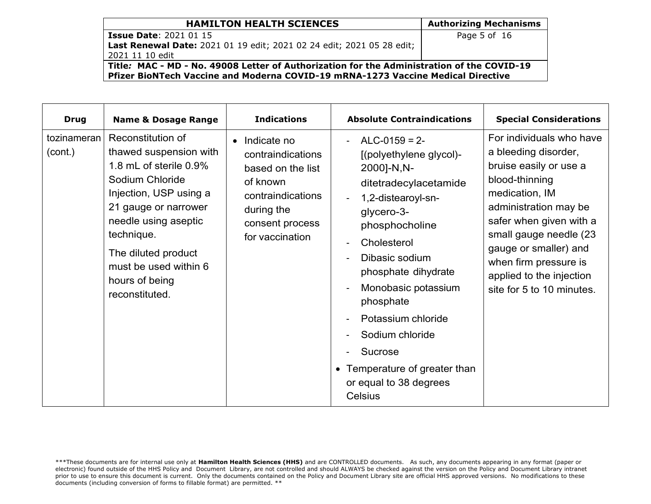# Page 5 of 16

**Issue Date**: 2021 01 15 **Last Renewal Date:** 2021 01 19 edit; 2021 02 24 edit; 2021 05 28 edit; 2021 11 10 edit

**Title***:* **MAC - MD - No. 49008 Letter of Authorization for the Administration of the COVID-19 Pfizer BioNTech Vaccine and Moderna COVID-19 mRNA-1273 Vaccine Medical Directive**

| <b>Drug</b>            | <b>Name &amp; Dosage Range</b>                                                                                                                                                                                                                                       | <b>Indications</b>                                                                                                                           | <b>Absolute Contraindications</b>                                                                                                                                                                                                                                                                                                                                                                           | <b>Special Considerations</b>                                                                                                                                                                                                                                                                           |
|------------------------|----------------------------------------------------------------------------------------------------------------------------------------------------------------------------------------------------------------------------------------------------------------------|----------------------------------------------------------------------------------------------------------------------------------------------|-------------------------------------------------------------------------------------------------------------------------------------------------------------------------------------------------------------------------------------------------------------------------------------------------------------------------------------------------------------------------------------------------------------|---------------------------------------------------------------------------------------------------------------------------------------------------------------------------------------------------------------------------------------------------------------------------------------------------------|
| tozinameran<br>(cont.) | Reconstitution of<br>thawed suspension with<br>1.8 mL of sterile 0.9%<br>Sodium Chloride<br>Injection, USP using a<br>21 gauge or narrower<br>needle using aseptic<br>technique.<br>The diluted product<br>must be used within 6<br>hours of being<br>reconstituted. | • Indicate no<br>contraindications<br>based on the list<br>of known<br>contraindications<br>during the<br>consent process<br>for vaccination | $ALC-0159 = 2-$<br>$\sim$<br>[(polyethylene glycol)-<br>2000]-N,N-<br>ditetradecylacetamide<br>1,2-distearoyl-sn-<br>$\blacksquare$<br>glycero-3-<br>phosphocholine<br>Cholesterol<br>$\blacksquare$<br>Dibasic sodium<br>phosphate dihydrate<br>Monobasic potassium<br>phosphate<br>Potassium chloride<br>Sodium chloride<br>Sucrose<br>• Temperature of greater than<br>or equal to 38 degrees<br>Celsius | For individuals who have<br>a bleeding disorder,<br>bruise easily or use a<br>blood-thinning<br>medication, IM<br>administration may be<br>safer when given with a<br>small gauge needle (23<br>gauge or smaller) and<br>when firm pressure is<br>applied to the injection<br>site for 5 to 10 minutes. |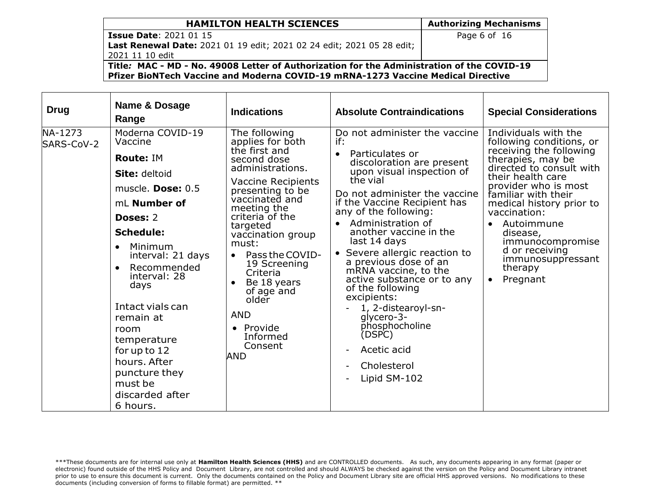# Page 6 of 16

**Issue Date**: 2021 01 15 **Last Renewal Date:** 2021 01 19 edit; 2021 02 24 edit; 2021 05 28 edit; 2021 11 10 edit

**Title***:* **MAC - MD - No. 49008 Letter of Authorization for the Administration of the COVID-19 Pfizer BioNTech Vaccine and Moderna COVID-19 mRNA-1273 Vaccine Medical Directive**

| Drug                  | Name & Dosage<br>Range                                                                                                                                                                                                                                                                                                                                                                                  | <b>Indications</b>                                                                                                                                                                                                                                                                                                                                                                                     | <b>Absolute Contraindications</b>                                                                                                                                                                                                                                                                                                                                                                                                                                                                                                                        | <b>Special Considerations</b>                                                                                                                                                                                                                                                                                                                                                      |
|-----------------------|---------------------------------------------------------------------------------------------------------------------------------------------------------------------------------------------------------------------------------------------------------------------------------------------------------------------------------------------------------------------------------------------------------|--------------------------------------------------------------------------------------------------------------------------------------------------------------------------------------------------------------------------------------------------------------------------------------------------------------------------------------------------------------------------------------------------------|----------------------------------------------------------------------------------------------------------------------------------------------------------------------------------------------------------------------------------------------------------------------------------------------------------------------------------------------------------------------------------------------------------------------------------------------------------------------------------------------------------------------------------------------------------|------------------------------------------------------------------------------------------------------------------------------------------------------------------------------------------------------------------------------------------------------------------------------------------------------------------------------------------------------------------------------------|
| NA-1273<br>SARS-CoV-2 | Moderna COVID-19<br>Vaccine<br><b>Route: IM</b><br><b>Site: deltoid</b><br>muscle. Dose: 0.5<br>mL Number of<br><b>Doses: 2</b><br><b>Schedule:</b><br>Minimum<br>$\bullet$<br>interval: 21 days<br>Recommended<br>$\bullet$<br>interval: 28<br>days<br>Intact vials can<br>remain at<br>room<br>temperature<br>for up to 12<br>hours. After<br>puncture they<br>must be<br>discarded after<br>6 hours. | The following<br>applies for both<br>the first and<br>second dose<br>administrations.<br><b>Vaccine Recipients</b><br>presenting to be<br>vaccinated and<br>meeting the<br>criteria of the<br>targeted<br>vaccination group<br>must:<br>Pass the COVID-<br>$\bullet$<br>19 Screening<br>Criteria<br>Be 18 years<br>of age and<br>older<br><b>AND</b><br>• Provide<br>Informed<br>Consent<br><b>AND</b> | Do not administer the vaccine<br>if:<br>Particulates or<br>discoloration are present<br>upon visual inspection of<br>the vial<br>Do not administer the vaccine<br>if the Vaccine Recipient has<br>any of the following:<br>Administration of<br>another vaccine in the<br>last 14 days<br>• Severe allergic reaction to<br>a previous dose of an<br>mRNA vaccine, to the<br>active substance or to any<br>of the following<br>excipients:<br>1, 2-distearoyl-sn-<br>qlycero-3-<br>phosphocholine<br>(DSPC)<br>Acetic acid<br>Cholesterol<br>Lipid SM-102 | Individuals with the<br>following conditions, or<br>receiving the following<br>therapies, may be<br>directed to consult with<br>their health care<br>provider who is most<br>familiar with their<br>medical history prior to<br>vaccination:<br>Autoimmune<br>$\bullet$<br>disease,<br>immunocompromise<br>d or receiving<br>immunosuppressant<br>therapy<br>Pregnant<br>$\bullet$ |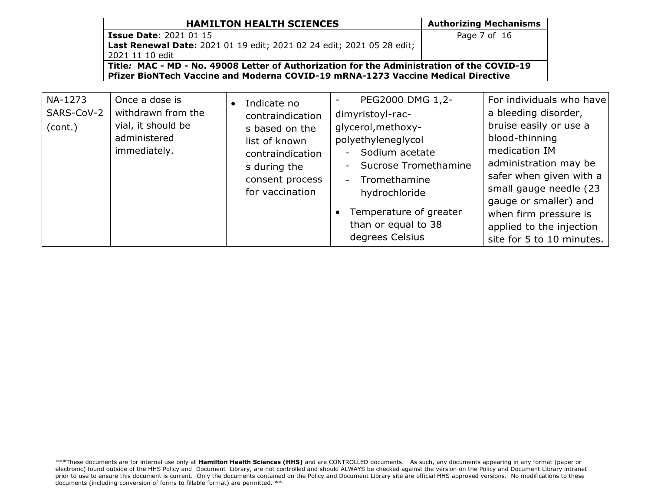| <b>HAMILTON HEALTH SCIENCES</b>                                                                                                                                                | <b>Authorizing Mechanisms</b> |
|--------------------------------------------------------------------------------------------------------------------------------------------------------------------------------|-------------------------------|
| <b>Issue Date: 2021 01 15</b>                                                                                                                                                  | Page 7 of 16                  |
| Last Renewal Date: 2021 01 19 edit; 2021 02 24 edit; 2021 05 28 edit;                                                                                                          |                               |
| 2021 11 10 edit                                                                                                                                                                |                               |
| Title: MAC - MD - No. 49008 Letter of Authorization for the Administration of the COVID-19<br>Pfizer BioNTech Vaccine and Moderna COVID-19 mRNA-1273 Vaccine Medical Directive |                               |

| NA-1273<br>SARS-CoV-2<br>(cont.) | Once a dose is<br>withdrawn from the<br>vial, it should be<br>administered<br>immediately. | Indicate no<br>contraindication<br>s based on the<br>list of known<br>contraindication<br>s during the<br>consent process<br>for vaccination | PEG2000 DMG 1,2-<br>dimyristoyl-rac-<br>glycerol, methoxy-<br>polyethyleneglycol<br>Sodium acetate<br>$-$<br>Sucrose Tromethamine<br>$\blacksquare$<br>Tromethamine<br>$\sim$<br>hydrochloride<br>Temperature of greater<br>than or equal to 38<br>degrees Celsius | For individuals who have<br>a bleeding disorder,<br>bruise easily or use a<br>blood-thinning<br>medication IM<br>administration may be<br>safer when given with a<br>small gauge needle (23<br>gauge or smaller) and<br>when firm pressure is<br>applied to the injection<br>site for 5 to 10 minutes. |
|----------------------------------|--------------------------------------------------------------------------------------------|----------------------------------------------------------------------------------------------------------------------------------------------|--------------------------------------------------------------------------------------------------------------------------------------------------------------------------------------------------------------------------------------------------------------------|--------------------------------------------------------------------------------------------------------------------------------------------------------------------------------------------------------------------------------------------------------------------------------------------------------|
|----------------------------------|--------------------------------------------------------------------------------------------|----------------------------------------------------------------------------------------------------------------------------------------------|--------------------------------------------------------------------------------------------------------------------------------------------------------------------------------------------------------------------------------------------------------------------|--------------------------------------------------------------------------------------------------------------------------------------------------------------------------------------------------------------------------------------------------------------------------------------------------------|

<sup>\*\*\*</sup>These documents are for internal use only at **Hamilton Health Sciences (HHS)** and are CONTROLLED documents. As such, any documents appearing in any format (paper or electronic) found outside of the HHS Policy and Document Library, are not controlled and should ALWAYS be checked against the version on the Policy and Document Library intranet prior to use to ensure this document is current. Only the documents contained on the Policy and Document Library site are official HHS approved versions. No modifications to these documents (including conversion of forms to fillable format) are permitted. \*\*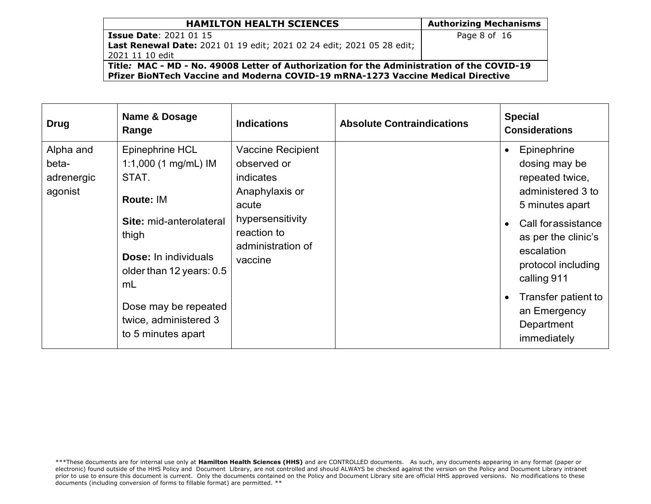# Page 8 of 16

**Issue Date**: 2021 01 15 **Last Renewal Date:** 2021 01 19 edit; 2021 02 24 edit; 2021 05 28 edit; 2021 11 10 edit

**Title***:* **MAC - MD - No. 49008 Letter of Authorization for the Administration of the COVID-19 Pfizer BioNTech Vaccine and Moderna COVID-19 mRNA-1273 Vaccine Medical Directive**

| <b>Drug</b>                                 | Name & Dosage<br>Range                                                                                                                                                                                                                                     | <b>Indications</b>                                                                                                                          | <b>Absolute Contraindications</b> | <b>Special</b><br><b>Considerations</b>                                                                                                                                                                                                                                                             |
|---------------------------------------------|------------------------------------------------------------------------------------------------------------------------------------------------------------------------------------------------------------------------------------------------------------|---------------------------------------------------------------------------------------------------------------------------------------------|-----------------------------------|-----------------------------------------------------------------------------------------------------------------------------------------------------------------------------------------------------------------------------------------------------------------------------------------------------|
| Alpha and<br>beta-<br>adrenergic<br>agonist | Epinephrine HCL<br>1:1,000 $(1 \text{ mg/mL})$ IM<br>STAT.<br>Route: IM<br><b>Site: mid-anterolateral</b><br>thigh<br><b>Dose:</b> In individuals<br>older than 12 years: 0.5<br>mL<br>Dose may be repeated<br>twice, administered 3<br>to 5 minutes apart | Vaccine Recipient<br>observed or<br>indicates<br>Anaphylaxis or<br>acute<br>hypersensitivity<br>reaction to<br>administration of<br>vaccine |                                   | Epinephrine<br>$\bullet$<br>dosing may be<br>repeated twice,<br>administered 3 to<br>5 minutes apart<br>Call for assistance<br>$\bullet$<br>as per the clinic's<br>escalation<br>protocol including<br>calling 911<br>Transfer patient to<br>$\bullet$<br>an Emergency<br>Department<br>immediately |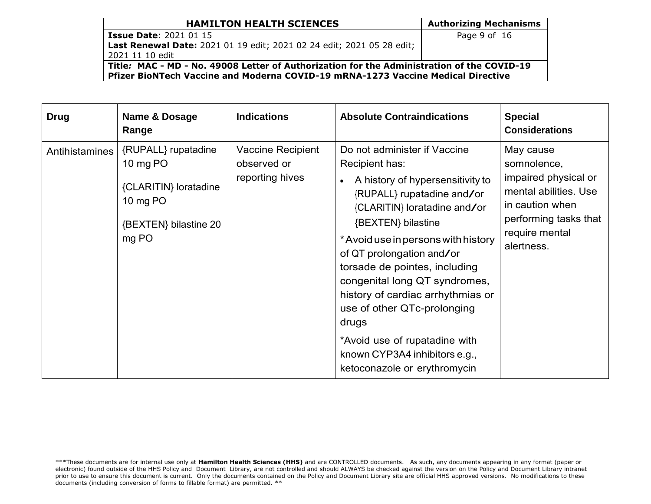#### **HAMILTON HEALTH SCIENCES** Authorizing Mechanisms **Issue Date**: 2021 01 15 **Last Renewal Date:** 2021 01 19 edit; 2021 02 24 edit; 2021 05 28 edit; 2021 11 10 edit Page 9 of 16 **Title***:* **MAC - MD - No. 49008 Letter of Authorization for the Administration of the COVID-19 Pfizer BioNTech Vaccine and Moderna COVID-19 mRNA-1273 Vaccine Medical Directive**

| <b>Drug</b>    | Name & Dosage<br>Range                                                                                 | <b>Indications</b>                                  | <b>Absolute Contraindications</b>                                                                                                                                                                                                                                                                                                                                                                                                                                                           | <b>Special</b><br><b>Considerations</b>                                                                                                               |
|----------------|--------------------------------------------------------------------------------------------------------|-----------------------------------------------------|---------------------------------------------------------------------------------------------------------------------------------------------------------------------------------------------------------------------------------------------------------------------------------------------------------------------------------------------------------------------------------------------------------------------------------------------------------------------------------------------|-------------------------------------------------------------------------------------------------------------------------------------------------------|
| Antihistamines | {RUPALL} rupatadine<br>10 mg PO<br>{CLARITIN} loratadine<br>10 mg PO<br>{BEXTEN} bilastine 20<br>mg PO | Vaccine Recipient<br>observed or<br>reporting hives | Do not administer if Vaccine<br>Recipient has:<br>A history of hypersensitivity to<br>{RUPALL} rupatadine and/or<br>{CLARITIN} loratadine and/or<br>{BEXTEN} bilastine<br>* Avoid use in persons with history<br>of QT prolongation and/or<br>torsade de pointes, including<br>congenital long QT syndromes,<br>history of cardiac arrhythmias or<br>use of other QTc-prolonging<br>drugs<br>*Avoid use of rupatadine with<br>known CYP3A4 inhibitors e.g.,<br>ketoconazole or erythromycin | May cause<br>somnolence,<br>impaired physical or<br>mental abilities. Use<br>in caution when<br>performing tasks that<br>require mental<br>alertness. |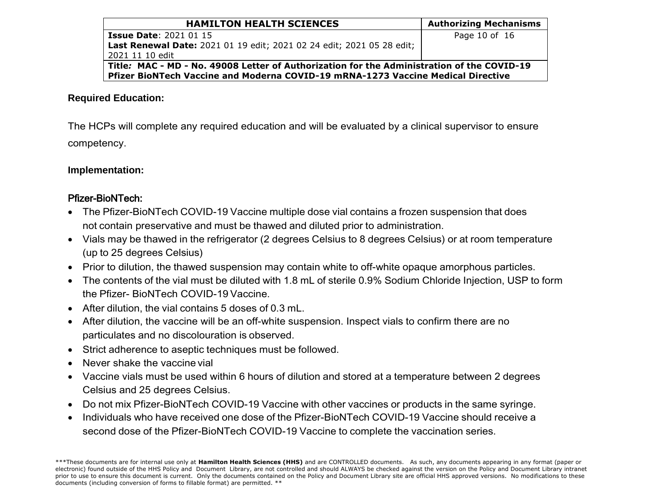| <b>HAMILTON HEALTH SCIENCES</b>                                                            | <b>Authorizing Mechanisms</b> |  |  |  |
|--------------------------------------------------------------------------------------------|-------------------------------|--|--|--|
| <b>Issue Date: 2021 01 15</b>                                                              | Page 10 of 16                 |  |  |  |
| Last Renewal Date: 2021 01 19 edit; 2021 02 24 edit; 2021 05 28 edit;                      |                               |  |  |  |
| 2021 11 10 edit                                                                            |                               |  |  |  |
| Title: MAC - MD - No. 49008 Letter of Authorization for the Administration of the COVID-19 |                               |  |  |  |
| Pfizer BioNTech Vaccine and Moderna COVID-19 mRNA-1273 Vaccine Medical Directive           |                               |  |  |  |

## **Required Education:**

The HCPs will complete any required education and will be evaluated by a clinical supervisor to ensure competency.

### **Implementation:**

# Pfizer-BioNTech:

- The Pfizer-BioNTech COVID-19 Vaccine multiple dose vial contains a frozen suspension that does not contain preservative and must be thawed and diluted prior to administration.
- Vials may be thawed in the refrigerator (2 degrees Celsius to 8 degrees Celsius) or at room temperature (up to 25 degrees Celsius)
- Prior to dilution, the thawed suspension may contain white to off-white opaque amorphous particles.
- The contents of the vial must be diluted with 1.8 mL of sterile 0.9% Sodium Chloride Injection, USP to form the Pfizer- BioNTech COVID-19 Vaccine.
- After dilution, the vial contains 5 doses of 0.3 mL.
- After dilution, the vaccine will be an off-white suspension. Inspect vials to confirm there are no particulates and no discolouration is observed.
- Strict adherence to aseptic techniques must be followed.
- Never shake the vaccine vial
- Vaccine vials must be used within 6 hours of dilution and stored at a temperature between 2 degrees Celsius and 25 degrees Celsius.
- Do not mix Pfizer-BioNTech COVID-19 Vaccine with other vaccines or products in the same syringe.
- Individuals who have received one dose of the Pfizer-BioNTech COVID-19 Vaccine should receive a second dose of the Pfizer-BioNTech COVID-19 Vaccine to complete the vaccination series.

<sup>\*\*\*</sup>These documents are for internal use only at **Hamilton Health Sciences (HHS)** and are CONTROLLED documents. As such, any documents appearing in any format (paper or electronic) found outside of the HHS Policy and Document Library, are not controlled and should ALWAYS be checked against the version on the Policy and Document Library intranet prior to use to ensure this document is current. Only the documents contained on the Policy and Document Library site are official HHS approved versions. No modifications to these documents (including conversion of forms to fillable format) are permitted. \*\*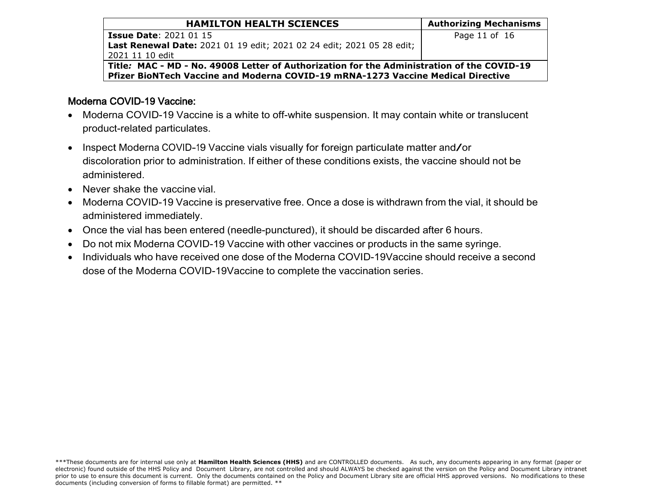| <b>HAMILTON HEALTH SCIENCES</b>                                                                   | <b>Authorizing Mechanisms</b> |
|---------------------------------------------------------------------------------------------------|-------------------------------|
| <b>Issue Date: 2021 01 15</b>                                                                     | Page 11 of 16                 |
| Last Renewal Date: 2021 01 19 edit; 2021 02 24 edit; 2021 05 28 edit;                             |                               |
| 2021 11 10 edit                                                                                   |                               |
| $\mid$ Title: MAC - MD - No. 49008 Letter of Authorization for the Administration of the COVID-19 |                               |

**Pfizer BioNTech Vaccine and Moderna COVID-19 mRNA-1273 Vaccine Medical Directive**

# Moderna COVID-19 Vaccine:

- Moderna COVID-19 Vaccine is a white to off-white suspension. It may contain white or translucent product-related particulates.
- Inspect Moderna COVID-19 Vaccine vials visually for foreign particulate matter and/or discoloration prior to administration. If either of these conditions exists, the vaccine should not be administered.
- Never shake the vaccine vial.
- Moderna COVID-19 Vaccine is preservative free. Once a dose is withdrawn from the vial, it should be administered immediately.
- Once the vial has been entered (needle-punctured), it should be discarded after 6 hours.
- Do not mix Moderna COVID-19 Vaccine with other vaccines or products in the same syringe.
- Individuals who have received one dose of the Moderna COVID-19Vaccine should receive a second dose of the Moderna COVID-19Vaccine to complete the vaccination series.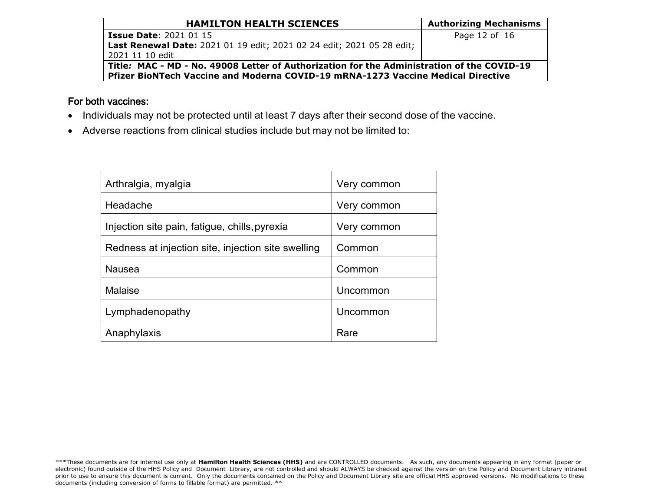| <b>HAMILTON HEALTH SCIENCES</b>                                                            | <b>Authorizing Mechanisms</b> |  |  |  |  |  |  |  |
|--------------------------------------------------------------------------------------------|-------------------------------|--|--|--|--|--|--|--|
| <b>Issue Date: 2021 01 15</b>                                                              | Page 12 of 16                 |  |  |  |  |  |  |  |
| Last Renewal Date: 2021 01 19 edit; 2021 02 24 edit; 2021 05 28 edit;                      |                               |  |  |  |  |  |  |  |
| 2021 11 10 edit                                                                            |                               |  |  |  |  |  |  |  |
| Title: MAC - MD - No. 49008 Letter of Authorization for the Administration of the COVID-19 |                               |  |  |  |  |  |  |  |
| Pfizer BioNTech Vaccine and Moderna COVID-19 mRNA-1273 Vaccine Medical Directive           |                               |  |  |  |  |  |  |  |

# For both vaccines:

- Individuals may not be protected until at least 7 days after their second dose of the vaccine.
- Adverse reactions from clinical studies include but may not be limited to:

| Arthralgia, myalgia                                | Very common |
|----------------------------------------------------|-------------|
| Headache                                           | Very common |
| Injection site pain, fatigue, chills, pyrexia      | Very common |
| Redness at injection site, injection site swelling | Common      |
| <b>Nausea</b>                                      | Common      |
| Malaise                                            | Uncommon    |
| Lymphadenopathy                                    | Uncommon    |
| Anaphylaxis                                        | Rare        |

<sup>\*\*\*</sup>These documents are for internal use only at **Hamilton Health Sciences (HHS)** and are CONTROLLED documents. As such, any documents appearing in any format (paper or electronic) found outside of the HHS Policy and Document Library, are not controlled and should ALWAYS be checked against the version on the Policy and Document Library intranet prior to use to ensure this document is current. Only the documents contained on the Policy and Document Library site are official HHS approved versions. No modifications to these documents (including conversion of forms to fillable format) are permitted. \*\*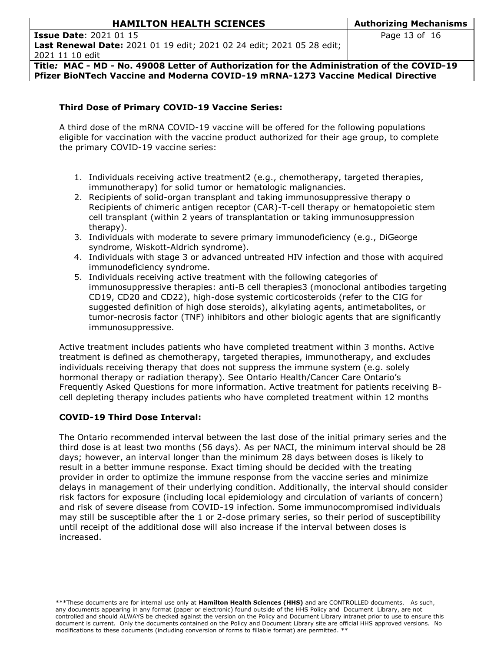**Title***:* **MAC - MD - No. 49008 Letter of Authorization for the Administration of the COVID-19 Pfizer BioNTech Vaccine and Moderna COVID-19 mRNA-1273 Vaccine Medical Directive**

### **Third Dose of Primary COVID-19 Vaccine Series:**

A third dose of the mRNA COVID-19 vaccine will be offered for the following populations eligible for vaccination with the vaccine product authorized for their age group, to complete the primary COVID-19 vaccine series:

- 1. Individuals receiving active treatment2 (e.g., chemotherapy, targeted therapies, immunotherapy) for solid tumor or hematologic malignancies.
- 2. Recipients of solid-organ transplant and taking immunosuppressive therapy o Recipients of chimeric antigen receptor (CAR)-T-cell therapy or hematopoietic stem cell transplant (within 2 years of transplantation or taking immunosuppression therapy).
- 3. Individuals with moderate to severe primary immunodeficiency (e.g., DiGeorge syndrome, Wiskott-Aldrich syndrome).
- 4. Individuals with stage 3 or advanced untreated HIV infection and those with acquired immunodeficiency syndrome.
- 5. Individuals receiving active treatment with the following categories of immunosuppressive therapies: anti-B cell therapies3 (monoclonal antibodies targeting CD19, CD20 and CD22), high-dose systemic corticosteroids (refer to the CIG for suggested definition of high dose steroids), alkylating agents, antimetabolites, or tumor-necrosis factor (TNF) inhibitors and other biologic agents that are significantly immunosuppressive.

Active treatment includes patients who have completed treatment within 3 months. Active treatment is defined as chemotherapy, targeted therapies, immunotherapy, and excludes individuals receiving therapy that does not suppress the immune system (e.g. solely hormonal therapy or radiation therapy). See Ontario Health/Cancer Care Ontario's Frequently Asked Questions for more information. Active treatment for patients receiving Bcell depleting therapy includes patients who have completed treatment within 12 months

### **COVID-19 Third Dose Interval:**

The Ontario recommended interval between the last dose of the initial primary series and the third dose is at least two months (56 days). As per NACI, the minimum interval should be 28 days; however, an interval longer than the minimum 28 days between doses is likely to result in a better immune response. Exact timing should be decided with the treating provider in order to optimize the immune response from the vaccine series and minimize delays in management of their underlying condition. Additionally, the interval should consider risk factors for exposure (including local epidemiology and circulation of variants of concern) and risk of severe disease from COVID-19 infection. Some immunocompromised individuals may still be susceptible after the 1 or 2-dose primary series, so their period of susceptibility until receipt of the additional dose will also increase if the interval between doses is increased.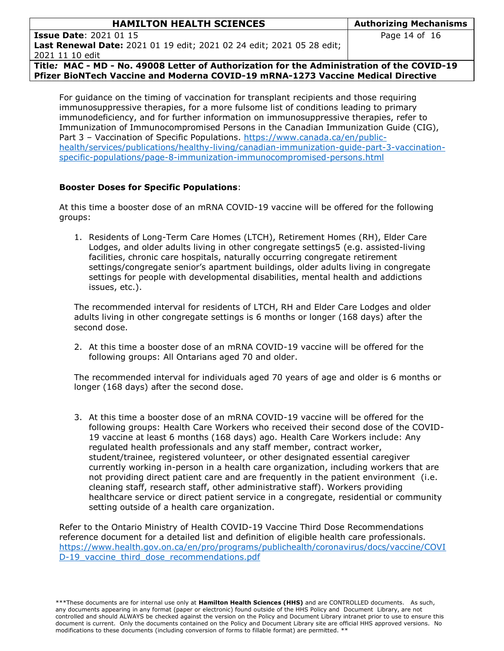| <b>HAMILTON HEALTH SCIENCES</b>                                              | <b>Authorizing Mechanisms</b> |  |  |  |  |
|------------------------------------------------------------------------------|-------------------------------|--|--|--|--|
| <b>Issue Date: 2021 01 15</b>                                                | Page 14 of 16                 |  |  |  |  |
| <b>Last Renewal Date:</b> 2021 01 19 edit; 2021 02 24 edit; 2021 05 28 edit; |                               |  |  |  |  |

2021 11 10 edit

**Title***:* **MAC - MD - No. 49008 Letter of Authorization for the Administration of the COVID-19 Pfizer BioNTech Vaccine and Moderna COVID-19 mRNA-1273 Vaccine Medical Directive**

For guidance on the timing of vaccination for transplant recipients and those requiring immunosuppressive therapies, for a more fulsome list of conditions leading to primary immunodeficiency, and for further information on immunosuppressive therapies, refer to Immunization of Immunocompromised Persons in the Canadian Immunization Guide (CIG), Part 3 – Vaccination of Specific Populations. [https://www.canada.ca/en/public](https://www.canada.ca/en/public-health/services/publications/healthy-living/canadian-immunization-guide-part-3-vaccination-specific-populations/page-8-immunization-immunocompromised-persons.html)[health/services/publications/healthy-living/canadian-immunization-guide-part-3-vaccination](https://www.canada.ca/en/public-health/services/publications/healthy-living/canadian-immunization-guide-part-3-vaccination-specific-populations/page-8-immunization-immunocompromised-persons.html)[specific-populations/page-8-immunization-immunocompromised-persons.html](https://www.canada.ca/en/public-health/services/publications/healthy-living/canadian-immunization-guide-part-3-vaccination-specific-populations/page-8-immunization-immunocompromised-persons.html)

### **Booster Doses for Specific Populations**:

At this time a booster dose of an mRNA COVID-19 vaccine will be offered for the following groups:

1. Residents of Long-Term Care Homes (LTCH), Retirement Homes (RH), Elder Care Lodges, and older adults living in other congregate settings5 (e.g. assisted-living facilities, chronic care hospitals, naturally occurring congregate retirement settings/congregate senior's apartment buildings, older adults living in congregate settings for people with developmental disabilities, mental health and addictions issues, etc.).

The recommended interval for residents of LTCH, RH and Elder Care Lodges and older adults living in other congregate settings is 6 months or longer (168 days) after the second dose.

2. At this time a booster dose of an mRNA COVID-19 vaccine will be offered for the following groups: All Ontarians aged 70 and older.

The recommended interval for individuals aged 70 years of age and older is 6 months or longer (168 days) after the second dose.

3. At this time a booster dose of an mRNA COVID-19 vaccine will be offered for the following groups: Health Care Workers who received their second dose of the COVID-19 vaccine at least 6 months (168 days) ago. Health Care Workers include: Any regulated health professionals and any staff member, contract worker, student/trainee, registered volunteer, or other designated essential caregiver currently working in-person in a health care organization, including workers that are not providing direct patient care and are frequently in the patient environment (i.e. cleaning staff, research staff, other administrative staff). Workers providing healthcare service or direct patient service in a congregate, residential or community setting outside of a health care organization.

Refer to the Ontario Ministry of Health COVID-19 Vaccine Third Dose Recommendations reference document for a detailed list and definition of eligible health care professionals. [https://www.health.gov.on.ca/en/pro/programs/publichealth/coronavirus/docs/vaccine/COVI](https://www.health.gov.on.ca/en/pro/programs/publichealth/coronavirus/docs/vaccine/COVID-19_vaccine_third_dose_recommendations.pdf) [D-19\\_vaccine\\_third\\_dose\\_recommendations.pdf](https://www.health.gov.on.ca/en/pro/programs/publichealth/coronavirus/docs/vaccine/COVID-19_vaccine_third_dose_recommendations.pdf)

<sup>\*\*\*</sup>These documents are for internal use only at **Hamilton Health Sciences (HHS)** and are CONTROLLED documents. As such, any documents appearing in any format (paper or electronic) found outside of the HHS Policy and Document Library, are not controlled and should ALWAYS be checked against the version on the Policy and Document Library intranet prior to use to ensure this document is current. Only the documents contained on the Policy and Document Library site are official HHS approved versions. No modifications to these documents (including conversion of forms to fillable format) are permitted. \*\*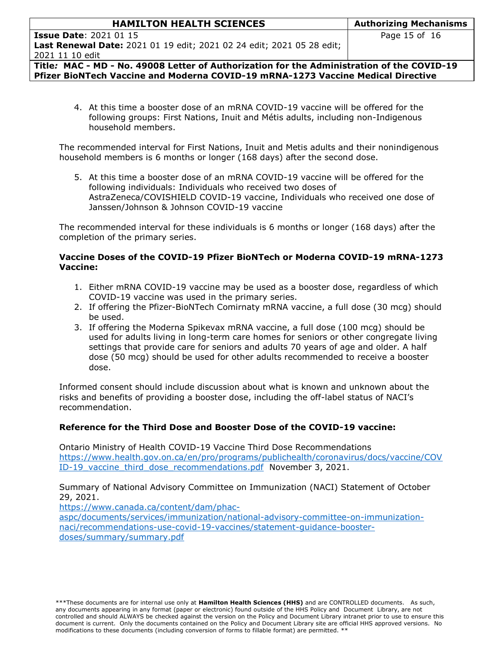| <b>Issue Date</b> : 2021 01 15                                               |  |  |  |  |  |  |
|------------------------------------------------------------------------------|--|--|--|--|--|--|
| <b>Last Renewal Date:</b> 2021 01 19 edit; 2021 02 24 edit; 2021 05 28 edit; |  |  |  |  |  |  |
| 2021 11 10 edit                                                              |  |  |  |  |  |  |

**Title***:* **MAC - MD - No. 49008 Letter of Authorization for the Administration of the COVID-19 Pfizer BioNTech Vaccine and Moderna COVID-19 mRNA-1273 Vaccine Medical Directive**

4. At this time a booster dose of an mRNA COVID-19 vaccine will be offered for the following groups: First Nations, Inuit and Métis adults, including non-Indigenous household members.

The recommended interval for First Nations, Inuit and Metis adults and their nonindigenous household members is 6 months or longer (168 days) after the second dose.

5. At this time a booster dose of an mRNA COVID-19 vaccine will be offered for the following individuals: Individuals who received two doses of AstraZeneca/COVISHIELD COVID-19 vaccine, Individuals who received one dose of Janssen/Johnson & Johnson COVID-19 vaccine

The recommended interval for these individuals is 6 months or longer (168 days) after the completion of the primary series.

### **Vaccine Doses of the COVID-19 Pfizer BioNTech or Moderna COVID-19 mRNA-1273 Vaccine:**

- 1. Either mRNA COVID-19 vaccine may be used as a booster dose, regardless of which COVID-19 vaccine was used in the primary series.
- 2. If offering the Pfizer-BioNTech Comirnaty mRNA vaccine, a full dose (30 mcg) should be used.
- 3. If offering the Moderna Spikevax mRNA vaccine, a full dose (100 mcg) should be used for adults living in long-term care homes for seniors or other congregate living settings that provide care for seniors and adults 70 years of age and older. A half dose (50 mcg) should be used for other adults recommended to receive a booster dose.

Informed consent should include discussion about what is known and unknown about the risks and benefits of providing a booster dose, including the off-label status of NACI's recommendation.

### **Reference for the Third Dose and Booster Dose of the COVID-19 vaccine:**

Ontario Ministry of Health COVID-19 Vaccine Third Dose Recommendations [https://www.health.gov.on.ca/en/pro/programs/publichealth/coronavirus/docs/vaccine/COV](https://www.health.gov.on.ca/en/pro/programs/publichealth/coronavirus/docs/vaccine/COVID-19_vaccine_third_dose_recommendations.pdf) ID-19 vaccine third dose recommendations.pdf November 3, 2021.

Summary of National Advisory Committee on Immunization (NACI) Statement of October 29, 2021.

[https://www.canada.ca/content/dam/phac](https://www.canada.ca/content/dam/phac-aspc/documents/services/immunization/national-advisory-committee-on-immunization-naci/recommendations-use-covid-19-vaccines/statement-guidance-booster-doses/summary/summary.pdf)[aspc/documents/services/immunization/national-advisory-committee-on-immunization](https://www.canada.ca/content/dam/phac-aspc/documents/services/immunization/national-advisory-committee-on-immunization-naci/recommendations-use-covid-19-vaccines/statement-guidance-booster-doses/summary/summary.pdf)[naci/recommendations-use-covid-19-vaccines/statement-guidance-booster](https://www.canada.ca/content/dam/phac-aspc/documents/services/immunization/national-advisory-committee-on-immunization-naci/recommendations-use-covid-19-vaccines/statement-guidance-booster-doses/summary/summary.pdf)[doses/summary/summary.pdf](https://www.canada.ca/content/dam/phac-aspc/documents/services/immunization/national-advisory-committee-on-immunization-naci/recommendations-use-covid-19-vaccines/statement-guidance-booster-doses/summary/summary.pdf)